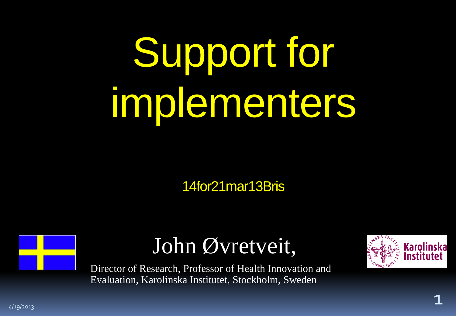# Support for implementers

14for21mar13Bris



#### John Øvretveit,

Director of Research, Professor of Health Innovation and Evaluation, Karolinska Institutet, Stockholm, Sweden



4/19/2013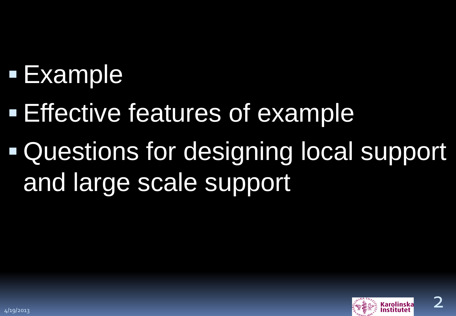# Example

- **Effective features of example**
- Questions for designing local support and large scale support

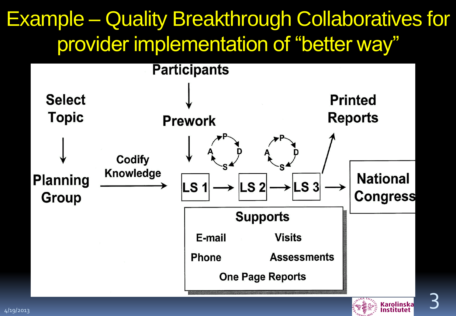#### Example – Quality Breakthrough Collaboratives for provider implementation of "better way"

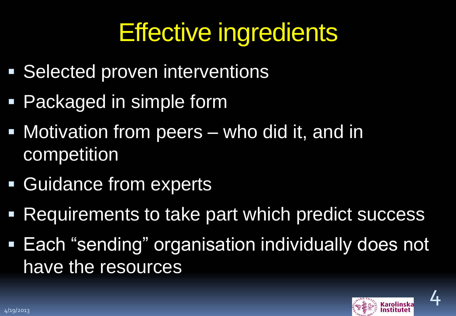# Effective ingredients

- **Selected proven interventions**
- **Packaged in simple form**
- **Notivation from peers who did it, and in** competition
- **Guidance from experts**
- **Requirements to take part which predict success**
- **Each "sending" organisation individually does not** have the resources

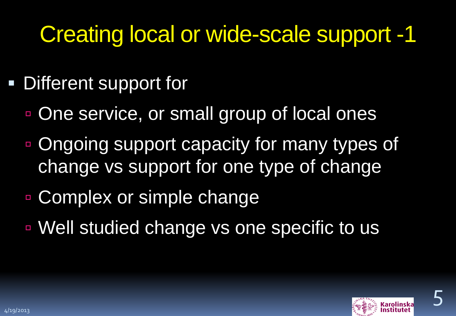## Creating local or wide-scale support -1

- **Different support for** 
	- One service, or small group of local ones
	- **Dougoing support capacity for many types of** change vs support for one type of change
	- Complex or simple change
	- Well studied change vs one specific to us

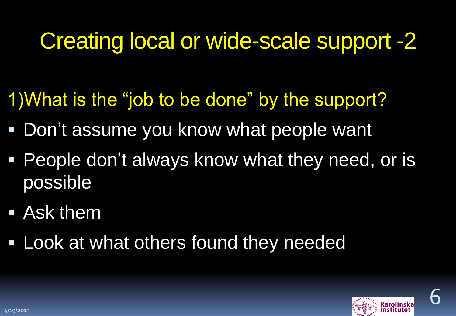### Creating local or wide-scale support -2

- 1)What is the "job to be done" by the support?
- **Don't assume you know what people want**
- **People don't always know what they need, or is** possible
- Ask them
- **Look at what others found they needed**



6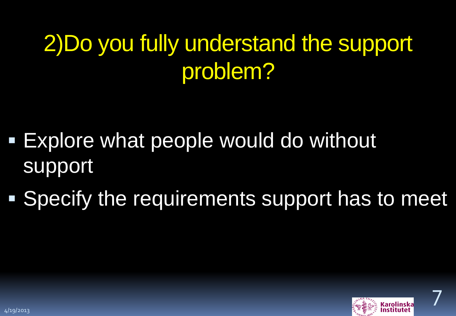## 2)Do you fully understand the support problem?

- **Explore what people would do without** support
- **Specify the requirements support has to meet**



7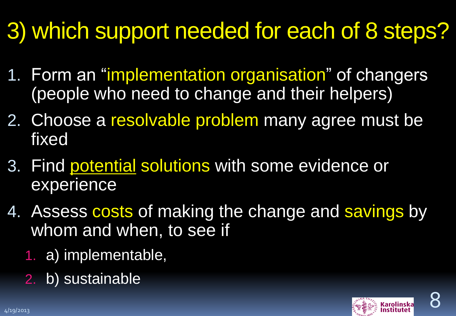# 3) which support needed for each of 8 steps?

- 1. Form an "implementation organisation" of changers (people who need to change and their helpers)
- 2. Choose a resolvable problem many agree must be fixed
- 3. Find potential solutions with some evidence or experience
- 4. Assess costs of making the change and savings by whom and when, to see if
	- 1. a) implementable,
	- 2. b) sustainable

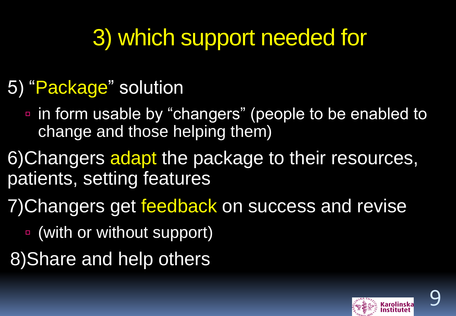## 3) which support needed for

#### 5) "Package" solution

- in form usable by "changers" (people to be enabled to change and those helping them)
- 6) Changers adapt the package to their resources, patients, setting features
- 7) Changers get feedback on success and revise
	- (with or without support)
- 8)Share and help others



9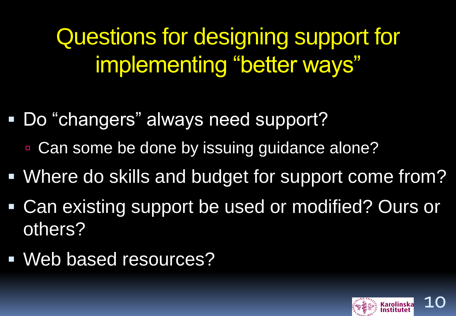Questions for designing support for implementing "better ways"

- Do "changers" always need support?
	- Can some be done by issuing guidance alone?
- Where do skills and budget for support come from?
- Can existing support be used or modified? Ours or others?
- Web based resources?

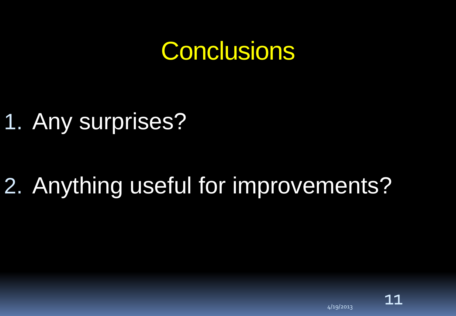#### **Conclusions**

#### 1. Any surprises?

# 2. Anything useful for improvements?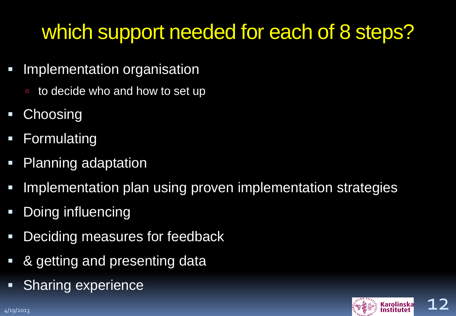#### which support needed for each of 8 steps?

- **Implementation organisation** 
	- to decide who and how to set up
- **Choosing**
- **Formulating**
- Planning adaptation
- Implementation plan using proven implementation strategies
- **-** Doing influencing
- **-** Deciding measures for feedback
- & getting and presenting data
- **Sharing experience**

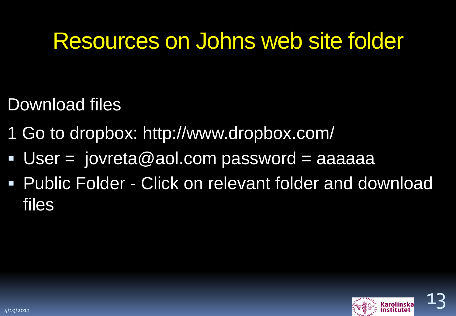#### Resources on Johns web site folder

- Download files
- 1 Go to dropbox: http://www.dropbox.com/
- User =  $i$ ovreta@aol.com password = aaaaaa
- **Public Folder Click on relevant folder and download** files